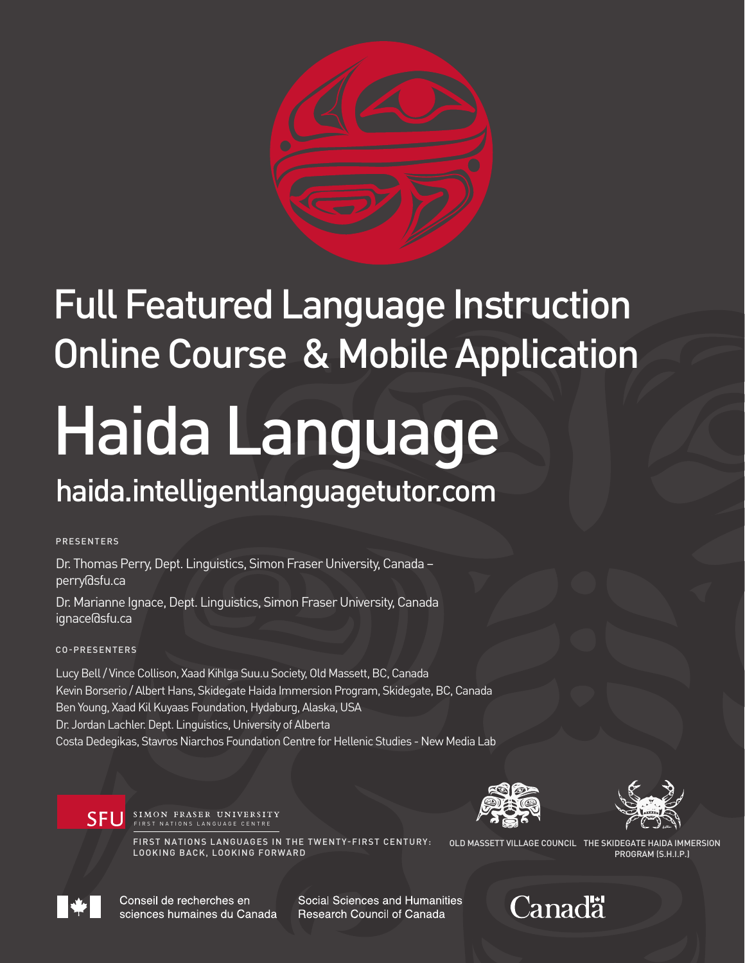

# Full Featured Language Instruction Online Course & Mobile Application

# Haida Language haida.intelligentlanguagetutor.com

PRESENTERS

Dr. Thomas Perry, Dept. Linguistics, Simon Fraser University, Canada – perry@sfu.ca

Dr. Marianne Ignace, Dept. Linguistics, Simon Fraser University, Canada ignace@sfu.ca

#### CO-PRESENTERS

Lucy Bell / Vince Collison, Xaad Kihlga Suu.u Society, Old Massett, BC, Canada Kevin Borserio / Albert Hans, Skidegate Haida Immersion Program, Skidegate, BC, Canada Ben Young, Xaad Kil Kuyaas Foundation, Hydaburg, Alaska, USA Dr. Jordan Lachler. Dept. Linguistics, University of Alberta Costa Dedegikas, Stavros Niarchos Foundation Centre for Hellenic Studies - New Media Lab





SFU SIMON FRASER UNIVERSITY

FIRST NATIONS LANGUAGES IN THE TWENTY-FIRST CENTURY: LOOKING BACK, LOOKING FORWARD

OLD MASSETT VILLAGE COUNCIL THE SKIDEGATE HAIDA IMMERSION PROGRAM (S.H.I.P.)



Conseil de recherches en sciences humaines du Canada Social Sciences and Humanities **Research Council of Canada** 

### Canadä